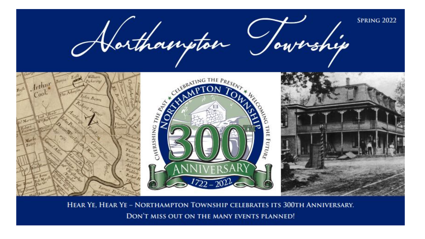

HEAR YE, HEAR YE - NORTHAMPTON TOWNSHIP CELEBRATES ITS 300TH ANNIVERSARY. DON'T MISS OUT ON THE MANY EVENTS PLANNED!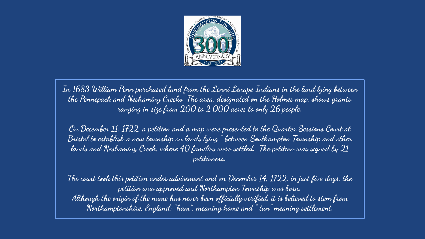

**In 1683 William Penn purchased land from the Lenni Lenape Indians in the land lying between the Pennepack and Neshaminy Creeks. The area, designated on the Holmes map, shows grants ranging in size from 200 to 2,000 acres to only 26 people.** 

**On December 11, 1722, a petition and a map were presented to the Quarter Sessions Court at Bristol to establish a new township on lands lying " between Southampton Township and other lands and Neshaminy Creek, where 40 families were settled. The petition was signed by 21 petitioners.** 

**The court took this petition under advisement and on December 14, 1722, in just five days, the petition was approved and Northampton Township was born. Although the origin of the name has never been officially verified, it is believed to stem from Northamptonshire, England: "ham", meaning home and " tun" meaning settlement.**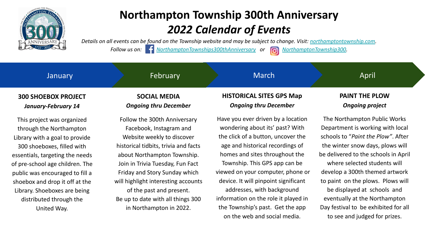

*Details on all events can be found on the Township website and may be subject to change. Visit: [northamptontownship.com.](https://www.google.com/url?q=https://www.northamptontownship.com/&sa=D&source=editors&ust=1646840683762148&usg=AOvVaw3yvwZioVArCzF6W18_ljiQ)*

*Follow us on: f <u>[NorthamptonTownships300thAnniversary](https://www.google.com/url?q=https://www.facebook.com/Northampton-Townships-300th-Anniversary-105493485327018&sa=D&source=editors&ust=1646840683762449&usg=AOvVaw2Uq9F9fw1h8QztzpMnZ1UT)</u>* or *on [NorthamptonTownship300](https://www.google.com/url?q=https://www.instagram.com/northamptontownship300/&sa=D&source=editors&ust=1646840683762649&usg=AOvVaw1ftFNSA9OLTfD_acYWZ85c)***</u>.** 

#### **March HISTORICAL SITES GPS Map January 300 SHOEBOX PROJECT SOCIAL MEDIA** April **PAINT THE PLOW** February

*January-February 14*

This project was organized through the Northampton Library with a goal to provide 300 shoeboxes, filled with essentials, targeting the needs of pre-school age children. The public was encouraged to fill a shoebox and drop it off at the Library. Shoeboxes are being distributed through the United Way.

# *Ongoing thru December*

Follow the 300th Anniversary Facebook, Instagram and Website weekly to discover historical tidbits, trivia and facts about Northampton Township. Join in Trivia Tuesday, Fun Fact Friday and Story Sunday which will highlight interesting accounts of the past and present. Be up to date with all things 300 in Northampton in 2022.

# *Ongoing thru December*

Have you ever driven by a location wondering about its' past? With the click of a button, uncover the age and historical recordings of homes and sites throughout the Township. This GPS app can be viewed on your computer, phone or device. It will pinpoint significant addresses, with background information on the role it played in the Township's past. Get the app on the web and social media.

# *Ongoing project*

The Northampton Public Works Department is working with local schools to "*Paint the Plow"*. After the winter snow days, plows will be delivered to the schools in April where selected students will develop a 300th themed artwork to paint on the plows. Plows will be displayed at schools and eventually at the Northampton Day festival to be exhibited for all to see and judged for prizes.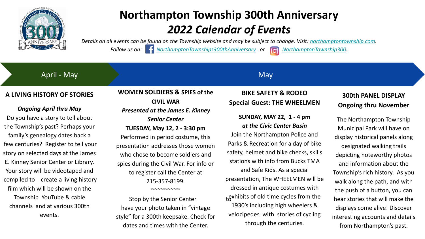

*Details on all events can be found on the Township website and may be subject to change. Visit: [northamptontownship.com.](https://www.google.com/url?q=https://www.northamptontownship.com/&sa=D&source=editors&ust=1646840684424048&usg=AOvVaw2sQGLgdgJyXa3aJCkyBdfc)*

*Follow us on: f <u>[NorthamptonTownships300thAnniversary](https://www.google.com/url?q=https://www.facebook.com/Northampton-Townships-300th-Anniversary-105493485327018&sa=D&source=editors&ust=1646840684424374&usg=AOvVaw2wrmWX1mJtj1rNnVDf6NVZ)</u> or <i>name [NorthamptonTownship300](https://www.google.com/url?q=https://www.instagram.com/northamptontownship300/&sa=D&source=editors&ust=1646840684424576&usg=AOvVaw2F9NaUP5uflwn1NxiK5THM)*.

April - May

#### **May**

#### **A LIVING HISTORY OF STORIES**

#### *Ongoing April thru May*

Do you have a story to tell about the Township's past? Perhaps your family's genealogy dates back a few centuries? Register to tell your story on selected days at the James E. Kinney Senior Center or Library. Your story will be videotaped and compiled to create a living history film which will be shown on the Township YouTube & cable channels and at various 300th events.

### **WOMEN SOLDIERS & SPIES of the CIVIL WAR** *Presented at the James E. Kinney*

*Senior Center* **TUESDAY, May 12, 2 - 3:30 pm**

Performed in period costume, this presentation addresses those women who chose to become soldiers and spies during the Civil War. For info or to register call the Center at 215-357-8199.  $~\sim\sim\sim\sim\sim\sim\sim\sim$ 

Stop by the Senior Center have your photo taken in "vintage style" for a 300th keepsake. Check for dates and times with the Center.

#### **BIKE SAFETY & RODEO Special Guest: THE WHEELMEN**

#### **SUNDAY, MAY 22, 1 - 4 pm**  *at the Civic Center Basin*

Join the Northampton Police and Parks & Recreation for a day of bike safety, helmet and bike checks, skills stations with info from Bucks TMA

and Safe Kids. As a special presentation, The WHEELMEN will be dressed in antique costumes with  $t$ <sub>t</sub> gxhibits of old time cycles from the 1930's including high wheelers & velocipedes with stories of cycling through the centuries.

#### **300th PANEL DISPLAY Ongoing thru November**

The Northampton Township Municipal Park will have on display historical panels along designated walking trails depicting noteworthy photos and information about the Township's rich history. As you walk along the path, and with the push of a button, you can hear stories that will make the displays come alive! Discover interesting accounts and details from Northampton's past.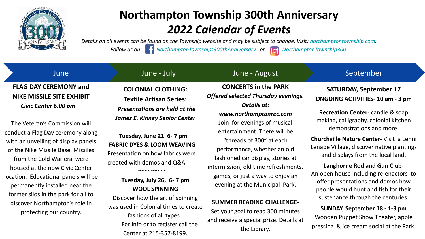

*Details on all events can be found on the Township website and may be subject to change. Visit: [northamptontownship.com.](https://www.google.com/url?q=https://www.northamptontownship.com/&sa=D&source=editors&ust=1646840684655888&usg=AOvVaw3yTCSkEG4m7x6unaPJxOMZ)*

*Follow us on: f <u>[NorthamptonTownships300thAnniversary](https://www.google.com/url?q=https://www.facebook.com/Northampton-Townships-300th-Anniversary-105493485327018&sa=D&source=editors&ust=1646840684656209&usg=AOvVaw0aNzfELoVy_J9rtjditCR9)</u> or <i>name [NorthamptonTownship300](https://www.google.com/url?q=https://www.instagram.com/northamptontownship300/&sa=D&source=editors&ust=1646840684656394&usg=AOvVaw3-fkacEHclYaDZjLAcFU8d)*.

#### **CONCERTS in the PARK** *Offered selected Thursday evenings. Details at: www.northamptonrec.com*  Join for evenings of musical entertainment. There will be "threads of 300" at each performance, whether an old fashioned car display, stories at intermission, old time refreshments, games, or just a way to enjoy an evening at the Municipal Park. September **SATURDAY, September 17 ONGOING ACTIVITIES- 10 am - 3 pm Recreation Center**- candle & soap making, calligraphy, colonial kitchen demonstrations and more. **Churchville Nature Center-** Visit a Lenni Lenape Village, discover native plantings and displays from the local land. **Langhorne Rod and Gun Club**-An open house including re-enactors to offer presentations and demos how people would hunt and fish for their sustenance through the centuries. June **FLAG DAY CEREMONY and NIKE MISSILE SITE EXHIBIT** *Civic Center 6:00 pm* The Veteran's Commission will conduct a Flag Day ceremony along with an unveiling of display panels of the Nike Missile Base. Missiles from the Cold War era were housed at the now Civic Center location. Educational panels will be permanently installed near the former silos in the park for all to June - July June - August **COLONIAL CLOTHING: Textile Artisan Series:** *Presentations are held at the James E. Kinney Senior Center* **Tuesday, June 21 6- 7 pm FABRIC DYES & LOOM WEAVING** Presentation on how fabrics were created with demos and Q&A ~~~~~~~~~ **Tuesday, July 26, 6- 7 pm WOOL SPINNING**

**SUNDAY, September 18 - 1-3 pm** Wooden Puppet Show Theater, apple pressing & ice cream social at the Park.

~~~~~~~~~~~~~~~

discover Northampton's role in protecting our country.

Discover how the art of spinning was used in Colonial times to create fashions of all types.. For info or to register call the Center at 215-357-8199.

#### **SUMMER READING CHALLENGE-**

Set your goal to read 300 minutes and receive a special prize. Details at the Library.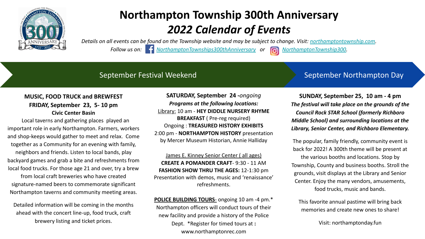

*Details on all events can be found on the Township website and may be subject to change. Visit: [northamptontownship.com.](https://www.google.com/url?q=https://www.northamptontownship.com/&sa=D&source=editors&ust=1646840685088055&usg=AOvVaw1igksGKrrYiyi03bRFUX1-)*

*Follow us on: [NorthamptonTownships300thAnniversary](https://www.google.com/url?q=https://www.facebook.com/Northampton-Townships-300th-Anniversary-105493485327018&sa=D&source=editors&ust=1646840685088305&usg=AOvVaw1yeHu-ccGworc10ybe9UPp) or [NorthamptonTownship300](https://www.google.com/url?q=https://www.instagram.com/northamptontownship300/&sa=D&source=editors&ust=1646840685088487&usg=AOvVaw0E-S834Pt8TWqkmqp6oCA7).* 



#### September Festival Weekend

#### September Northampton Day

#### **MUSIC, FOOD TRUCK and BREWFEST FRIDAY, September 23, 5- 10 pm Civic Center Basin**

Local taverns and gathering places played an important role in early Northampton. Farmers, workers and shop-keeps would gather to meet and relax. Come together as a Community for an evening with family, neighbors and friends. Listen to local bands, play backyard games and grab a bite and refreshments from local food trucks. For those age 21 and over, try a brew

from local craft breweries who have created signature-named beers to commemorate significant Northampton taverns and community meeting areas.

Detailed information will be coming in the months ahead with the concert line-up, food truck, craft brewery listing and ticket prices.

**SATURDAY, September 24 -***ongoing Programs at the following locations:* Library: 10 am - **HEY DIDDLE NURSERY RHYME BREAKFAST** ( Pre-reg required) Ongoing : **TREASURED HISTORY EXHIBITS** 2:00 pm - **NORTHAMPTON HISTORY** presentation by Mercer Museum Historian, Annie Halliday

James E. Kinney Senior Center ( all ages) **CREATE A POMANDER CRAFT**- 9:30 - 11 AM **FASHION SHOW THRU THE AGES:** 12-1:30 pm Presentation with demos, music and 'renaissance' refreshments.

**POLICE BUILDING TOURS**- ongoing 10 am -4 pm.\* Northampton officers will conduct tours of their new facility and provide a history of the Police Dept. \*Register for timed tours at **:**  www.northamptonrec.com

**SUNDAY, September 25, 10 am - 4 pm**  *The festival will take place on the grounds of the Council Rock STAR School (formerly Richboro Middle School) and surrounding locations at the Library, Senior Center, and Richboro Elementary.* 

The popular, family friendly, community event is back for 2022! A 300th theme will be present at the various booths and locations. Stop by Township, County and business booths. Stroll the grounds, visit displays at the Library and Senior Center. Enjoy the many vendors, amusements, food trucks, music and bands.

This favorite annual pastime will bring back memories and create new ones to share!

Visit: northamptonday.fun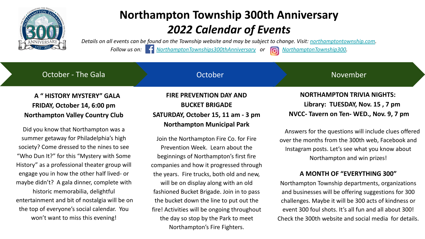

*Details on all events can be found on the Township website and may be subject to change. Visit: [northamptontownship.com.](https://www.google.com/url?q=https://www.northamptontownship.com/&sa=D&source=editors&ust=1646840685482702&usg=AOvVaw0ZHI1MTbj07rd0dUzHoCPa)*

*Follow us on:* <sup>*C*</sup> *[NorthamptonTownships300thAnniversary](https://www.google.com/url?q=https://www.facebook.com/Northampton-Townships-300th-Anniversary-105493485327018&sa=D&source=editors&ust=1646840685482956&usg=AOvVaw255eVciyFB1m2vK3IogIeD) or* **a** *[NorthamptonTownship300](https://www.google.com/url?q=https://www.instagram.com/northamptontownship300/&sa=D&source=editors&ust=1646840685483084&usg=AOvVaw15LNi5HlBJNh-0Kz9Hg-IC).* 

### **A " HISTORY MYSTERY" GALA FRIDAY, October 14, 6:00 pm Northampton Valley Country Club**

October - The Gala

Did you know that Northampton was a summer getaway for Philadelphia's high society? Come dressed to the nines to see "Who Dun It?" for this "Mystery with Some History" as a professional theater group will engage you in how the other half lived- or maybe didn't? A gala dinner, complete with historic memorabilia, delightful entertainment and bit of nostalgia will be on the top of everyone's social calendar. You won't want to miss this evening!

#### **FIRE PREVENTION DAY AND BUCKET BRIGADE SATURDAY, October 15, 11 am - 3 pm Northampton Municipal Park**

**October** 

Join the Northampton Fire Co. for Fire Prevention Week. Learn about the beginnings of Northampton's first fire companies and how it progressed through the years. Fire trucks, both old and new, will be on display along with an old fashioned Bucket Brigade. Join in to pass the bucket down the line to put out the fire! Activities will be ongoing throughout the day so stop by the Park to meet Northampton's Fire Fighters.

 **NORTHAMPTON TRIVIA NIGHTS: Library: TUESDAY, Nov. 15 , 7 pm NVCC- Tavern on Ten- WED., Nov. 9, 7 pm** 

November

Answers for the questions will include clues offered over the months from the 300th web, Facebook and Instagram posts. Let's see what you know about Northampton and win prizes!

#### **A MONTH OF "EVERYTHING 300"**

Northampton Township departments, organizations and businesses will be offering suggestions for 300 challenges. Maybe it will be 300 acts of kindness or event 300 foul shots. It's all fun and all about 300! Check the 300th website and social media for details.